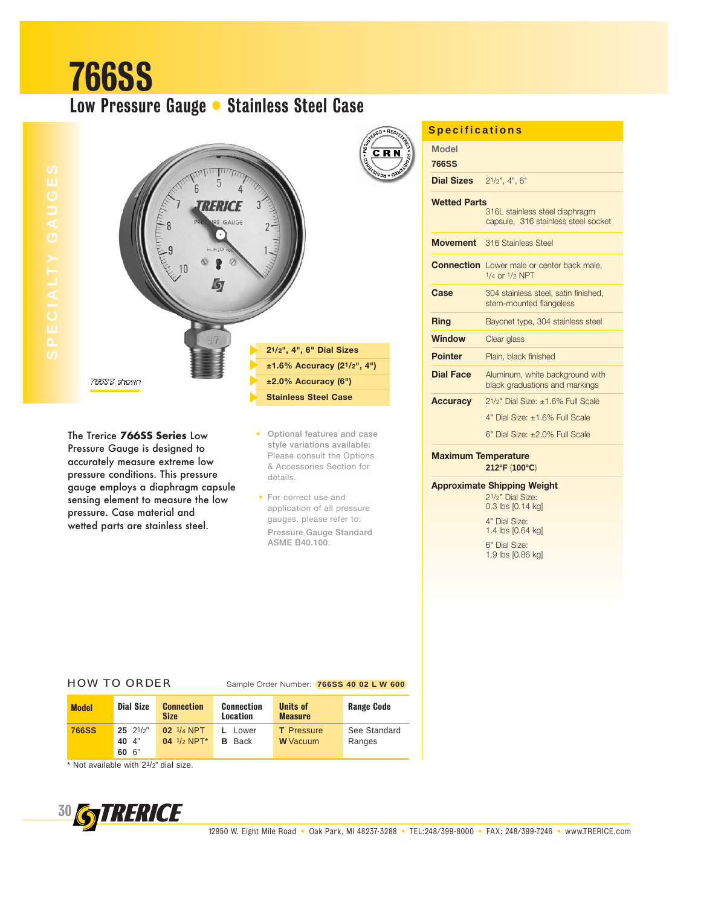# 766SS Low Pressure Gauge • Stainless Steel Case



The Trerice **766SS Series** Low Pressure Gauge is designed to accurately measure extreme low pressure conditions. This pressure gauge employs a diaphragm capsule sensing element to measure the low pressure. Case material and wetted parts are stainless steel.

• **Optional features and case style variations available:** Please consult the Options & Accessories Section for details.

• For correct use and application of all pressure gauges, please refer to: **Pressure Gauge Standard ASME B40.100**.

**Model 766SS Dial Sizes** 21/2", 4", 6" **Wetted Parts** 316L stainless steel diaphragm capsule, 316 stainless steel socket **Movement** 316 Stainless Steel **Connection** Lower male or center back male, 1/4 or 1/2 NPT **Case** 304 stainless steel, satin finished, stem-mounted flangeless **Ring** Bayonet type, 304 stainless steel **Window** Clear glass **Pointer** Plain, black finished **Dial Face** Aluminum, white background with black graduations and markings **Accuracy** 21/2" Dial Size: ±1.6% Full Scale 4" Dial Size: ±1.6% Full Scale 6" Dial Size: ±2.0% Full Scale **Maximum Temperature Specifications**

**212°F** (**100°C**)

### **Approximate Shipping Weight**

21/2" Dial Size: 0.3 lbs [0.14 kg] 4" Dial Size: 1.4 lbs [0.64 kg] 6" Dial Size: 1.9 lbs [0.86 kg]

#### HOW TO ORDER Sample Order Number: **766SS 40 02 L W 600**

| <b>Model</b> | Dial Size                         | <b>Connection</b><br><b>Size</b> | <b>Connection</b><br>Location | <b>Units of</b><br><b>Measure</b>    | <b>Range Code</b>      |
|--------------|-----------------------------------|----------------------------------|-------------------------------|--------------------------------------|------------------------|
| <b>766SS</b> | $25 \t2^{1/2"}$<br>40 4"<br>60 6" | 02 1/4 NPT<br>$04$ $1/2$ NPT*    | Lower<br><b>Back</b><br>в.    | <b>T</b> Pressure<br><b>W</b> Vacuum | See Standard<br>Ranges |

\* Not available with 21/2" dial size.